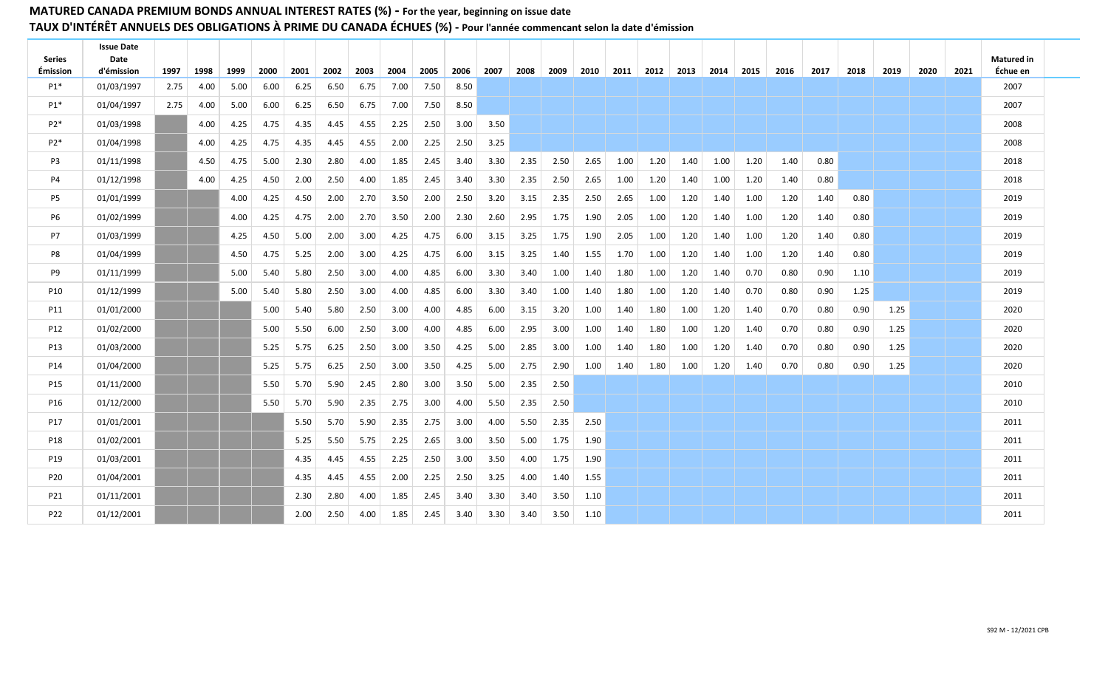| <b>Series</b><br><b>Émission</b> | <b>Issue Date</b><br>Date<br>d'émission | 1997 | 1998 | 1999 | 2000 | 2001 | 2002 | 2003 | 2004 | 2005 | 2006 2007 |      | 2008 | 2009 |      | 2010   2011 | 2012   2013   2014 |      |      | 2015 | 2016 | 2017 | 2018 | 2019 | 2020 | 2021 | <b>Matured</b> in<br>Échue en |  |
|----------------------------------|-----------------------------------------|------|------|------|------|------|------|------|------|------|-----------|------|------|------|------|-------------|--------------------|------|------|------|------|------|------|------|------|------|-------------------------------|--|
| $P1*$                            | 01/03/1997                              | 2.75 | 4.00 | 5.00 | 6.00 | 6.25 | 6.50 | 6.75 | 7.00 | 7.50 | 8.50      |      |      |      |      |             |                    |      |      |      |      |      |      |      |      |      | 2007                          |  |
| P1*                              | 01/04/1997                              | 2.75 | 4.00 | 5.00 | 6.00 | 6.25 | 6.50 | 6.75 | 7.00 | 7.50 | 8.50      |      |      |      |      |             |                    |      |      |      |      |      |      |      |      |      | 2007                          |  |
| $P2*$                            | 01/03/1998                              |      | 4.00 | 4.25 | 4.75 | 4.35 | 4.45 | 4.55 | 2.25 | 2.50 | 3.00      | 3.50 |      |      |      |             |                    |      |      |      |      |      |      |      |      |      | 2008                          |  |
| $P2*$                            | 01/04/1998                              |      | 4.00 | 4.25 | 4.75 | 4.35 | 4.45 | 4.55 | 2.00 | 2.25 | 2.50      | 3.25 |      |      |      |             |                    |      |      |      |      |      |      |      |      |      | 2008                          |  |
| P3                               | 01/11/1998                              |      | 4.50 | 4.75 | 5.00 | 2.30 | 2.80 | 4.00 | 1.85 | 2.45 | 3.40      | 3.30 | 2.35 | 2.50 | 2.65 | 1.00        | 1.20               | 1.40 | 1.00 | 1.20 | 1.40 | 0.80 |      |      |      |      | 2018                          |  |
| P4                               | 01/12/1998                              |      | 4.00 | 4.25 | 4.50 | 2.00 | 2.50 | 4.00 | 1.85 | 2.45 | 3.40      | 3.30 | 2.35 | 2.50 | 2.65 | 1.00        | 1.20               | 1.40 | 1.00 | 1.20 | 1.40 | 0.80 |      |      |      |      | 2018                          |  |
| P5                               | 01/01/1999                              |      |      | 4.00 | 4.25 | 4.50 | 2.00 | 2.70 | 3.50 | 2.00 | 2.50      | 3.20 | 3.15 | 2.35 | 2.50 | 2.65        | 1.00               | 1.20 | 1.40 | 1.00 | 1.20 | 1.40 | 0.80 |      |      |      | 2019                          |  |
| <b>P6</b>                        | 01/02/1999                              |      |      | 4.00 | 4.25 | 4.75 | 2.00 | 2.70 | 3.50 | 2.00 | 2.30      | 2.60 | 2.95 | 1.75 | 1.90 | 2.05        | 1.00               | 1.20 | 1.40 | 1.00 | 1.20 | 1.40 | 0.80 |      |      |      | 2019                          |  |
| P7                               | 01/03/1999                              |      |      | 4.25 | 4.50 | 5.00 | 2.00 | 3.00 | 4.25 | 4.75 | 6.00      | 3.15 | 3.25 | 1.75 | 1.90 | 2.05        | 1.00               | 1.20 | 1.40 | 1.00 | 1.20 | 1.40 | 0.80 |      |      |      | 2019                          |  |
| P8                               | 01/04/1999                              |      |      | 4.50 | 4.75 | 5.25 | 2.00 | 3.00 | 4.25 | 4.75 | 6.00      | 3.15 | 3.25 | 1.40 | 1.55 | 1.70        | 1.00               | 1.20 | 1.40 | 1.00 | 1.20 | 1.40 | 0.80 |      |      |      | 2019                          |  |
| P9                               | 01/11/1999                              |      |      | 5.00 | 5.40 | 5.80 | 2.50 | 3.00 | 4.00 | 4.85 | 6.00      | 3.30 | 3.40 | 1.00 | 1.40 | 1.80        | 1.00               | 1.20 | 1.40 | 0.70 | 0.80 | 0.90 | 1.10 |      |      |      | 2019                          |  |
| P10                              | 01/12/1999                              |      |      | 5.00 | 5.40 | 5.80 | 2.50 | 3.00 | 4.00 | 4.85 | 6.00      | 3.30 | 3.40 | 1.00 | 1.40 | 1.80        | 1.00               | 1.20 | 1.40 | 0.70 | 0.80 | 0.90 | 1.25 |      |      |      | 2019                          |  |
| P11                              | 01/01/2000                              |      |      |      | 5.00 | 5.40 | 5.80 | 2.50 | 3.00 | 4.00 | 4.85      | 6.00 | 3.15 | 3.20 | 1.00 | 1.40        | 1.80               | 1.00 | 1.20 | 1.40 | 0.70 | 0.80 | 0.90 | 1.25 |      |      | 2020                          |  |
| P12                              | 01/02/2000                              |      |      |      | 5.00 | 5.50 | 6.00 | 2.50 | 3.00 | 4.00 | 4.85      | 6.00 | 2.95 | 3.00 | 1.00 | 1.40        | 1.80               | 1.00 | 1.20 | 1.40 | 0.70 | 0.80 | 0.90 | 1.25 |      |      | 2020                          |  |
| P13                              | 01/03/2000                              |      |      |      | 5.25 | 5.75 | 6.25 | 2.50 | 3.00 | 3.50 | 4.25      | 5.00 | 2.85 | 3.00 | 1.00 | 1.40        | 1.80               | 1.00 | 1.20 | 1.40 | 0.70 | 0.80 | 0.90 | 1.25 |      |      | 2020                          |  |
| P14                              | 01/04/2000                              |      |      |      | 5.25 | 5.75 | 6.25 | 2.50 | 3.00 | 3.50 | 4.25      | 5.00 | 2.75 | 2.90 | 1.00 | 1.40        | 1.80               | 1.00 | 1.20 | 1.40 | 0.70 | 0.80 | 0.90 | 1.25 |      |      | 2020                          |  |
| P15                              | 01/11/2000                              |      |      |      | 5.50 | 5.70 | 5.90 | 2.45 | 2.80 | 3.00 | 3.50      | 5.00 | 2.35 | 2.50 |      |             |                    |      |      |      |      |      |      |      |      |      | 2010                          |  |
| P16                              | 01/12/2000                              |      |      |      | 5.50 | 5.70 | 5.90 | 2.35 | 2.75 | 3.00 | 4.00      | 5.50 | 2.35 | 2.50 |      |             |                    |      |      |      |      |      |      |      |      |      | 2010                          |  |
| P17                              | 01/01/2001                              |      |      |      |      | 5.50 | 5.70 | 5.90 | 2.35 | 2.75 | 3.00      | 4.00 | 5.50 | 2.35 | 2.50 |             |                    |      |      |      |      |      |      |      |      |      | 2011                          |  |
| P18                              | 01/02/2001                              |      |      |      |      | 5.25 | 5.50 | 5.75 | 2.25 | 2.65 | 3.00      | 3.50 | 5.00 | 1.75 | 1.90 |             |                    |      |      |      |      |      |      |      |      |      | 2011                          |  |
| P19                              | 01/03/2001                              |      |      |      |      | 4.35 | 4.45 | 4.55 | 2.25 | 2.50 | 3.00      | 3.50 | 4.00 | 1.75 | 1.90 |             |                    |      |      |      |      |      |      |      |      |      | 2011                          |  |
| P20                              | 01/04/2001                              |      |      |      |      | 4.35 | 4.45 | 4.55 | 2.00 | 2.25 | 2.50      | 3.25 | 4.00 | 1.40 | 1.55 |             |                    |      |      |      |      |      |      |      |      |      | 2011                          |  |
| P21                              | 01/11/2001                              |      |      |      |      | 2.30 | 2.80 | 4.00 | 1.85 | 2.45 | 3.40      | 3.30 | 3.40 | 3.50 | 1.10 |             |                    |      |      |      |      |      |      |      |      |      | 2011                          |  |
| P22                              | 01/12/2001                              |      |      |      |      | 2.00 | 2.50 | 4.00 | 1.85 | 2.45 | 3.40      | 3.30 | 3.40 | 3.50 | 1.10 |             |                    |      |      |      |      |      |      |      |      |      | 2011                          |  |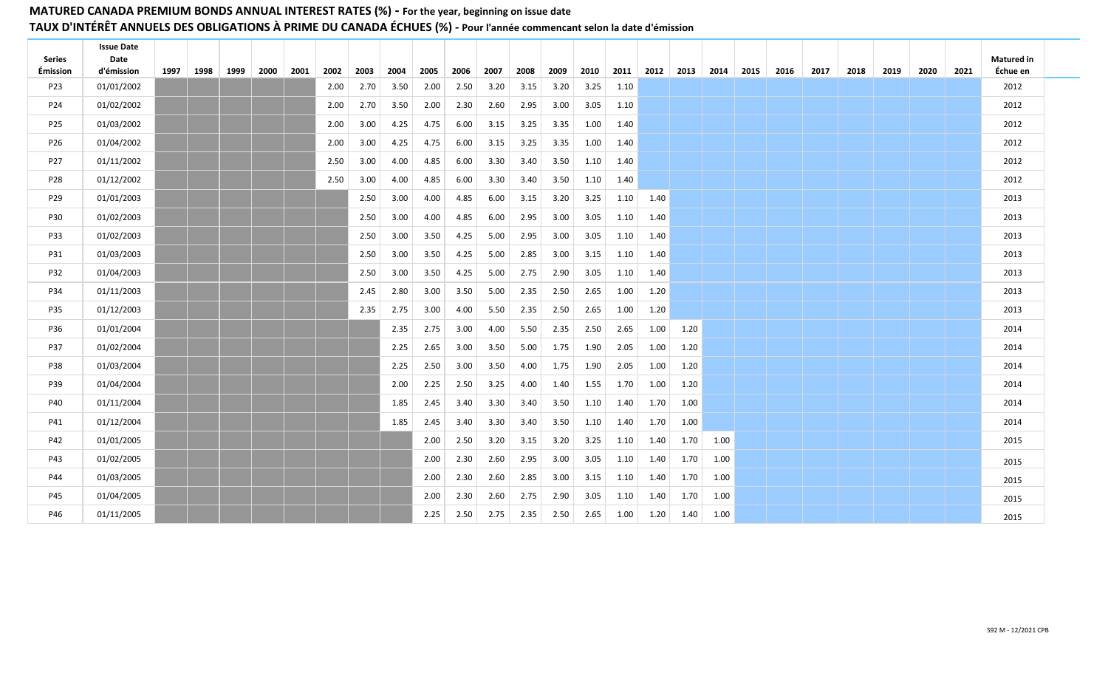| Series<br><b>Émission</b> | <b>Issue Date</b><br>Date<br>d'émission | 1997 | 1998 | 1999 | 2000 | 2001 | 2002 | 2003 | 2004 | 2005 | 2006 | 2007 | 2008 | 2009 | 2010 |      |      | 2011   2012   2013   2014   2015 |      | 2016 | 2017 | 2018 | 2019 | 2020 | 2021 | Matured in<br>Échue en |  |
|---------------------------|-----------------------------------------|------|------|------|------|------|------|------|------|------|------|------|------|------|------|------|------|----------------------------------|------|------|------|------|------|------|------|------------------------|--|
| P23                       | 01/01/2002                              |      |      |      |      |      | 2.00 | 2.70 | 3.50 | 2.00 | 2.50 | 3.20 | 3.15 | 3.20 | 3.25 | 1.10 |      |                                  |      |      |      |      |      |      |      | 2012                   |  |
| P24                       | 01/02/2002                              |      |      |      |      |      | 2.00 | 2.70 | 3.50 | 2.00 | 2.30 | 2.60 | 2.95 | 3.00 | 3.05 | 1.10 |      |                                  |      |      |      |      |      |      |      | 2012                   |  |
| P25                       | 01/03/2002                              |      |      |      |      |      | 2.00 | 3.00 | 4.25 | 4.75 | 6.00 | 3.15 | 3.25 | 3.35 | 1.00 | 1.40 |      |                                  |      |      |      |      |      |      |      | 2012                   |  |
| P26                       | 01/04/2002                              |      |      |      |      |      | 2.00 | 3.00 | 4.25 | 4.75 | 6.00 | 3.15 | 3.25 | 3.35 | 1.00 | 1.40 |      |                                  |      |      |      |      |      |      |      | 2012                   |  |
| P27                       | 01/11/2002                              |      |      |      |      |      | 2.50 | 3.00 | 4.00 | 4.85 | 6.00 | 3.30 | 3.40 | 3.50 | 1.10 | 1.40 |      |                                  |      |      |      |      |      |      |      | 2012                   |  |
| P28                       | 01/12/2002                              |      |      |      |      |      | 2.50 | 3.00 | 4.00 | 4.85 | 6.00 | 3.30 | 3.40 | 3.50 | 1.10 | 1.40 |      |                                  |      |      |      |      |      |      |      | 2012                   |  |
| P29                       | 01/01/2003                              |      |      |      |      |      |      | 2.50 | 3.00 | 4.00 | 4.85 | 6.00 | 3.15 | 3.20 | 3.25 | 1.10 | 1.40 |                                  |      |      |      |      |      |      |      | 2013                   |  |
| <b>P30</b>                | 01/02/2003                              |      |      |      |      |      |      | 2.50 | 3.00 | 4.00 | 4.85 | 6.00 | 2.95 | 3.00 | 3.05 | 1.10 | 1.40 |                                  |      |      |      |      |      |      |      | 2013                   |  |
| P33                       | 01/02/2003                              |      |      |      |      |      |      | 2.50 | 3.00 | 3.50 | 4.25 | 5.00 | 2.95 | 3.00 | 3.05 | 1.10 | 1.40 |                                  |      |      |      |      |      |      |      | 2013                   |  |
| P31                       | 01/03/2003                              |      |      |      |      |      |      | 2.50 | 3.00 | 3.50 | 4.25 | 5.00 | 2.85 | 3.00 | 3.15 | 1.10 | 1.40 |                                  |      |      |      |      |      |      |      | 2013                   |  |
| P32                       | 01/04/2003                              |      |      |      |      |      |      | 2.50 | 3.00 | 3.50 | 4.25 | 5.00 | 2.75 | 2.90 | 3.05 | 1.10 | 1.40 |                                  |      |      |      |      |      |      |      | 2013                   |  |
| P34                       | 01/11/2003                              |      |      |      |      |      |      | 2.45 | 2.80 | 3.00 | 3.50 | 5.00 | 2.35 | 2.50 | 2.65 | 1.00 | 1.20 |                                  |      |      |      |      |      |      |      | 2013                   |  |
| P35                       | 01/12/2003                              |      |      |      |      |      |      | 2.35 | 2.75 | 3.00 | 4.00 | 5.50 | 2.35 | 2.50 | 2.65 | 1.00 | 1.20 |                                  |      |      |      |      |      |      |      | 2013                   |  |
| P36                       | 01/01/2004                              |      |      |      |      |      |      |      | 2.35 | 2.75 | 3.00 | 4.00 | 5.50 | 2.35 | 2.50 | 2.65 | 1.00 | 1.20                             |      |      |      |      |      |      |      | 2014                   |  |
| P37                       | 01/02/2004                              |      |      |      |      |      |      |      | 2.25 | 2.65 | 3.00 | 3.50 | 5.00 | 1.75 | 1.90 | 2.05 | 1.00 | 1.20                             |      |      |      |      |      |      |      | 2014                   |  |
| <b>P38</b>                | 01/03/2004                              |      |      |      |      |      |      |      | 2.25 | 2.50 | 3.00 | 3.50 | 4.00 | 1.75 | 1.90 | 2.05 | 1.00 | 1.20                             |      |      |      |      |      |      |      | 2014                   |  |
| P39                       | 01/04/2004                              |      |      |      |      |      |      |      | 2.00 | 2.25 | 2.50 | 3.25 | 4.00 | 1.40 | 1.55 | 1.70 | 1.00 | 1.20                             |      |      |      |      |      |      |      | 2014                   |  |
| P40                       | 01/11/2004                              |      |      |      |      |      |      |      | 1.85 | 2.45 | 3.40 | 3.30 | 3.40 | 3.50 | 1.10 | 1.40 | 1.70 | 1.00                             |      |      |      |      |      |      |      | 2014                   |  |
| P41                       | 01/12/2004                              |      |      |      |      |      |      |      | 1.85 | 2.45 | 3.40 | 3.30 | 3.40 | 3.50 | 1.10 | 1.40 | 1.70 | 1.00                             |      |      |      |      |      |      |      | 2014                   |  |
| P42                       | 01/01/2005                              |      |      |      |      |      |      |      |      | 2.00 | 2.50 | 3.20 | 3.15 | 3.20 | 3.25 | 1.10 | 1.40 | 1.70                             | 1.00 |      |      |      |      |      |      | 2015                   |  |
| P43                       | 01/02/2005                              |      |      |      |      |      |      |      |      | 2.00 | 2.30 | 2.60 | 2.95 | 3.00 | 3.05 | 1.10 | 1.40 | 1.70                             | 1.00 |      |      |      |      |      |      | 2015                   |  |
| P44                       | 01/03/2005                              |      |      |      |      |      |      |      |      | 2.00 | 2.30 | 2.60 | 2.85 | 3.00 | 3.15 | 1.10 | 1.40 | 1.70                             | 1.00 |      |      |      |      |      |      | 2015                   |  |
| P45                       | 01/04/2005                              |      |      |      |      |      |      |      |      | 2.00 | 2.30 | 2.60 | 2.75 | 2.90 | 3.05 | 1.10 | 1.40 | 1.70                             | 1.00 |      |      |      |      |      |      | 2015                   |  |
| P46                       | 01/11/2005                              |      |      |      |      |      |      |      |      | 2.25 | 2.50 | 2.75 | 2.35 | 2.50 | 2.65 | 1.00 | 1.20 | 1.40                             | 1.00 |      |      |      |      |      |      | 2015                   |  |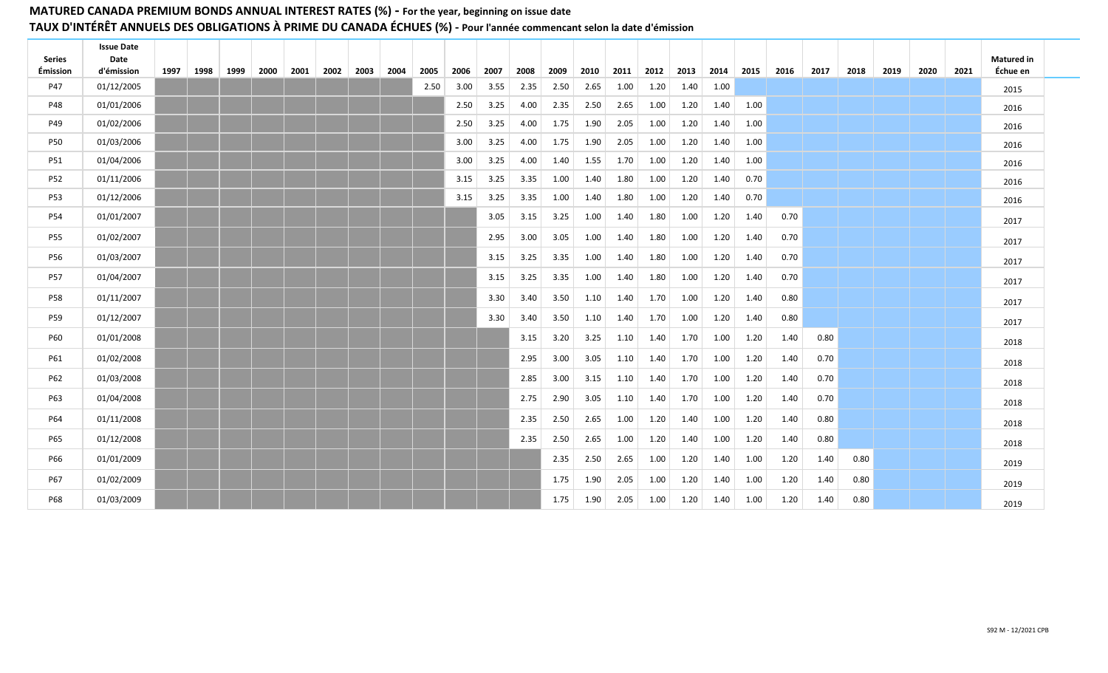| <b>Series</b> | <b>Issue Date</b><br>Date |           |      |      |      |                  |      |      |      |      |      |      |          |      |      |      |                     |      |      |      |      |      |      | <b>Matured in</b> |  |
|---------------|---------------------------|-----------|------|------|------|------------------|------|------|------|------|------|------|----------|------|------|------|---------------------|------|------|------|------|------|------|-------------------|--|
| Émission      | d'émission                | 1997 1998 | 1999 | 2000 | 2001 | $2002$ 2003 2004 | 2005 | 2006 | 2007 | 2008 | 2009 | 2010 | 2011     | 2012 |      |      | 2013 2014 2015 2016 |      | 2017 | 2018 | 2019 | 2020 | 2021 | Échue en          |  |
| P47           | 01/12/2005                |           |      |      |      |                  | 2.50 | 3.00 | 3.55 | 2.35 | 2.50 | 2.65 | 1.00     | 1.20 | 1.40 | 1.00 |                     |      |      |      |      |      |      | 2015              |  |
| P48           | 01/01/2006                |           |      |      |      |                  |      | 2.50 | 3.25 | 4.00 | 2.35 | 2.50 | 2.65     | 1.00 | 1.20 | 1.40 | 1.00                |      |      |      |      |      |      | 2016              |  |
| P49           | 01/02/2006                |           |      |      |      |                  |      | 2.50 | 3.25 | 4.00 | 1.75 | 1.90 | 2.05     | 1.00 | 1.20 | 1.40 | 1.00                |      |      |      |      |      |      | 2016              |  |
| <b>P50</b>    | 01/03/2006                |           |      |      |      |                  |      | 3.00 | 3.25 | 4.00 | 1.75 | 1.90 | 2.05     | 1.00 | 1.20 | 1.40 | 1.00                |      |      |      |      |      |      | 2016              |  |
| P51           | 01/04/2006                |           |      |      |      |                  |      | 3.00 | 3.25 | 4.00 | 1.40 | 1.55 | 1.70     | 1.00 | 1.20 | 1.40 | 1.00                |      |      |      |      |      |      | 2016              |  |
| P52           | 01/11/2006                |           |      |      |      |                  |      | 3.15 | 3.25 | 3.35 | 1.00 | 1.40 | 1.80     | 1.00 | 1.20 | 1.40 | 0.70                |      |      |      |      |      |      | 2016              |  |
| <b>P53</b>    | 01/12/2006                |           |      |      |      |                  |      | 3.15 | 3.25 | 3.35 | 1.00 | 1.40 | 1.80     | 1.00 | 1.20 | 1.40 | 0.70                |      |      |      |      |      |      | 2016              |  |
| P54           | 01/01/2007                |           |      |      |      |                  |      |      | 3.05 | 3.15 | 3.25 | 1.00 | 1.40     | 1.80 | 1.00 | 1.20 | 1.40                | 0.70 |      |      |      |      |      | 2017              |  |
| P55           | 01/02/2007                |           |      |      |      |                  |      |      | 2.95 | 3.00 | 3.05 | 1.00 | 1.40     | 1.80 | 1.00 | 1.20 | 1.40                | 0.70 |      |      |      |      |      | 2017              |  |
| P56           | 01/03/2007                |           |      |      |      |                  |      |      | 3.15 | 3.25 | 3.35 | 1.00 | 1.40     | 1.80 | 1.00 | 1.20 | 1.40                | 0.70 |      |      |      |      |      | 2017              |  |
| <b>P57</b>    | 01/04/2007                |           |      |      |      |                  |      |      | 3.15 | 3.25 | 3.35 | 1.00 | 1.40     | 1.80 | 1.00 | 1.20 | 1.40                | 0.70 |      |      |      |      |      | 2017              |  |
| <b>P58</b>    | 01/11/2007                |           |      |      |      |                  |      |      | 3.30 | 3.40 | 3.50 | 1.10 | 1.40     | 1.70 | 1.00 | 1.20 | 1.40                | 0.80 |      |      |      |      |      | 2017              |  |
| P59           | 01/12/2007                |           |      |      |      |                  |      |      | 3.30 | 3.40 | 3.50 | 1.10 | 1.40     | 1.70 | 1.00 | 1.20 | 1.40                | 0.80 |      |      |      |      |      | 2017              |  |
| P60           | 01/01/2008                |           |      |      |      |                  |      |      |      | 3.15 | 3.20 | 3.25 | 1.10     | 1.40 | 1.70 | 1.00 | 1.20                | 1.40 | 0.80 |      |      |      |      | 2018              |  |
| P61           | 01/02/2008                |           |      |      |      |                  |      |      |      | 2.95 | 3.00 | 3.05 | 1.10     | 1.40 | 1.70 | 1.00 | 1.20                | 1.40 | 0.70 |      |      |      |      | 2018              |  |
| P62           | 01/03/2008                |           |      |      |      |                  |      |      |      | 2.85 | 3.00 | 3.15 | 1.10     | 1.40 | 1.70 | 1.00 | 1.20                | 1.40 | 0.70 |      |      |      |      | 2018              |  |
| P63           | 01/04/2008                |           |      |      |      |                  |      |      |      | 2.75 | 2.90 | 3.05 | $1.10\,$ | 1.40 | 1.70 | 1.00 | 1.20                | 1.40 | 0.70 |      |      |      |      | 2018              |  |
| P64           | 01/11/2008                |           |      |      |      |                  |      |      |      | 2.35 | 2.50 | 2.65 | 1.00     | 1.20 | 1.40 | 1.00 | 1.20                | 1.40 | 0.80 |      |      |      |      | 2018              |  |
| P65           | 01/12/2008                |           |      |      |      |                  |      |      |      | 2.35 | 2.50 | 2.65 | 1.00     | 1.20 | 1.40 | 1.00 | 1.20                | 1.40 | 0.80 |      |      |      |      | 2018              |  |
| P66           | 01/01/2009                |           |      |      |      |                  |      |      |      |      | 2.35 | 2.50 | 2.65     | 1.00 | 1.20 | 1.40 | 1.00                | 1.20 | 1.40 | 0.80 |      |      |      | 2019              |  |
| P67           | 01/02/2009                |           |      |      |      |                  |      |      |      |      | 1.75 | 1.90 | 2.05     | 1.00 | 1.20 | 1.40 | 1.00                | 1.20 | 1.40 | 0.80 |      |      |      | 2019              |  |
| P68           | 01/03/2009                |           |      |      |      |                  |      |      |      |      | 1.75 | 1.90 | 2.05     | 1.00 | 1.20 | 1.40 | 1.00                | 1.20 | 1.40 | 0.80 |      |      |      | 2019              |  |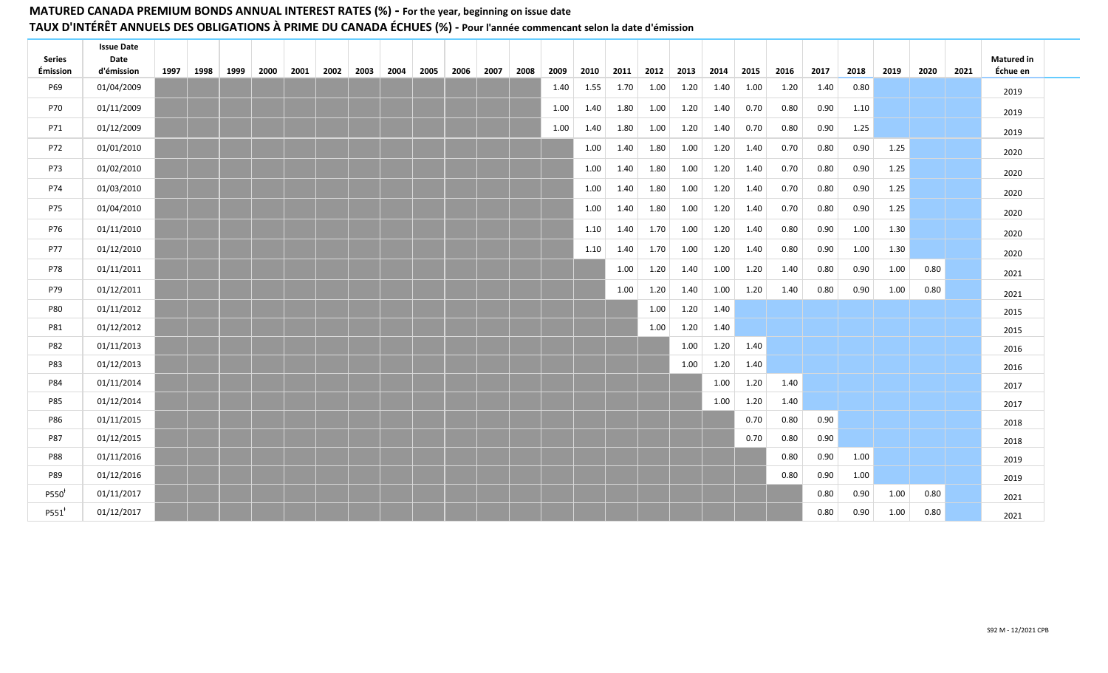| <b>Series</b> | <b>Issue Date</b><br>Date |      |             |      |  |                |      |      |           |      |      |      |      |      |      |      |      |      |      |      |      |      |      | <b>Matured in</b> |
|---------------|---------------------------|------|-------------|------|--|----------------|------|------|-----------|------|------|------|------|------|------|------|------|------|------|------|------|------|------|-------------------|
| Émission      | d'émission                | 1997 | 1998   1999 | 2000 |  | 2001 2002 2003 | 2004 | 2005 | 2006 2007 | 2008 | 2009 | 2010 | 2011 | 2012 | 2013 | 2014 | 2015 | 2016 | 2017 | 2018 | 2019 | 2020 | 2021 | Échue en          |
| P69           | 01/04/2009                |      |             |      |  |                |      |      |           |      | 1.40 | 1.55 | 1.70 | 1.00 | 1.20 | 1.40 | 1.00 | 1.20 | 1.40 | 0.80 |      |      |      | 2019              |
| P70           | 01/11/2009                |      |             |      |  |                |      |      |           |      | 1.00 | 1.40 | 1.80 | 1.00 | 1.20 | 1.40 | 0.70 | 0.80 | 0.90 | 1.10 |      |      |      | 2019              |
| P71           | 01/12/2009                |      |             |      |  |                |      |      |           |      | 1.00 | 1.40 | 1.80 | 1.00 | 1.20 | 1.40 | 0.70 | 0.80 | 0.90 | 1.25 |      |      |      | 2019              |
| P72           | 01/01/2010                |      |             |      |  |                |      |      |           |      |      | 1.00 | 1.40 | 1.80 | 1.00 | 1.20 | 1.40 | 0.70 | 0.80 | 0.90 | 1.25 |      |      | 2020              |
| P73           | 01/02/2010                |      |             |      |  |                |      |      |           |      |      | 1.00 | 1.40 | 1.80 | 1.00 | 1.20 | 1.40 | 0.70 | 0.80 | 0.90 | 1.25 |      |      | 2020              |
| P74           | 01/03/2010                |      |             |      |  |                |      |      |           |      |      | 1.00 | 1.40 | 1.80 | 1.00 | 1.20 | 1.40 | 0.70 | 0.80 | 0.90 | 1.25 |      |      | 2020              |
| P75           | 01/04/2010                |      |             |      |  |                |      |      |           |      |      | 1.00 | 1.40 | 1.80 | 1.00 | 1.20 | 1.40 | 0.70 | 0.80 | 0.90 | 1.25 |      |      | 2020              |
| P76           | 01/11/2010                |      |             |      |  |                |      |      |           |      |      | 1.10 | 1.40 | 1.70 | 1.00 | 1.20 | 1.40 | 0.80 | 0.90 | 1.00 | 1.30 |      |      | 2020              |
| P77           | 01/12/2010                |      |             |      |  |                |      |      |           |      |      | 1.10 | 1.40 | 1.70 | 1.00 | 1.20 | 1.40 | 0.80 | 0.90 | 1.00 | 1.30 |      |      | 2020              |
| P78           | 01/11/2011                |      |             |      |  |                |      |      |           |      |      |      | 1.00 | 1.20 | 1.40 | 1.00 | 1.20 | 1.40 | 0.80 | 0.90 | 1.00 | 0.80 |      | 2021              |
| P79           | 01/12/2011                |      |             |      |  |                |      |      |           |      |      |      | 1.00 | 1.20 | 1.40 | 1.00 | 1.20 | 1.40 | 0.80 | 0.90 | 1.00 | 0.80 |      | 2021              |
| <b>P80</b>    | 01/11/2012                |      |             |      |  |                |      |      |           |      |      |      |      | 1.00 | 1.20 | 1.40 |      |      |      |      |      |      |      | 2015              |
| P81           | 01/12/2012                |      |             |      |  |                |      |      |           |      |      |      |      | 1.00 | 1.20 | 1.40 |      |      |      |      |      |      |      | 2015              |
| P82           | 01/11/2013                |      |             |      |  |                |      |      |           |      |      |      |      |      | 1.00 | 1.20 | 1.40 |      |      |      |      |      |      | 2016              |
| P83           | 01/12/2013                |      |             |      |  |                |      |      |           |      |      |      |      |      | 1.00 | 1.20 | 1.40 |      |      |      |      |      |      | 2016              |
| P84           | 01/11/2014                |      |             |      |  |                |      |      |           |      |      |      |      |      |      | 1.00 | 1.20 | 1.40 |      |      |      |      |      | 2017              |
| <b>P85</b>    | 01/12/2014                |      |             |      |  |                |      |      |           |      |      |      |      |      |      | 1.00 | 1.20 | 1.40 |      |      |      |      |      | 2017              |
| P86           | 01/11/2015                |      |             |      |  |                |      |      |           |      |      |      |      |      |      |      | 0.70 | 0.80 | 0.90 |      |      |      |      | 2018              |
| <b>P87</b>    | 01/12/2015                |      |             |      |  |                |      |      |           |      |      |      |      |      |      |      | 0.70 | 0.80 | 0.90 |      |      |      |      | 2018              |
| <b>P88</b>    | 01/11/2016                |      |             |      |  |                |      |      |           |      |      |      |      |      |      |      |      | 0.80 | 0.90 | 1.00 |      |      |      | 2019              |
| P89           | 01/12/2016                |      |             |      |  |                |      |      |           |      |      |      |      |      |      |      |      | 0.80 | 0.90 | 1.00 |      |      |      | 2019              |
| P550          | 01/11/2017                |      |             |      |  |                |      |      |           |      |      |      |      |      |      |      |      |      | 0.80 | 0.90 | 1.00 | 0.80 |      | 2021              |
| P551          | 01/12/2017                |      |             |      |  |                |      |      |           |      |      |      |      |      |      |      |      |      | 0.80 | 0.90 | 1.00 | 0.80 |      | 2021              |